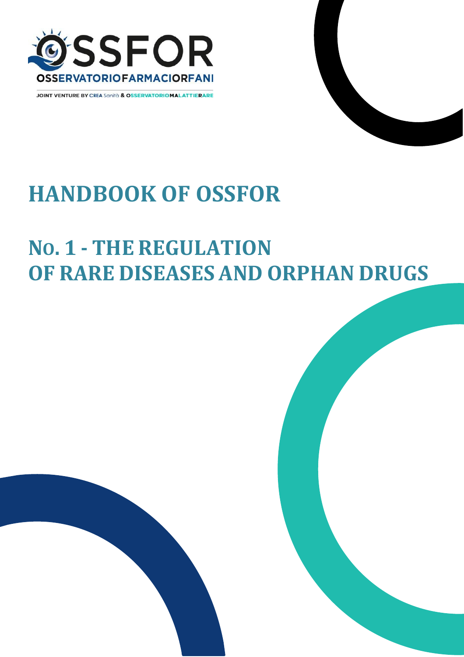

**JOINT VENTURE BY CREA Sanità & OSSERVATORIOMALATTIERARE** 



# **HANDBOOK OF OSSFOR**

## **NO. 1 - THE REGULATION OF RARE DISEASES AND ORPHAN DRUGS**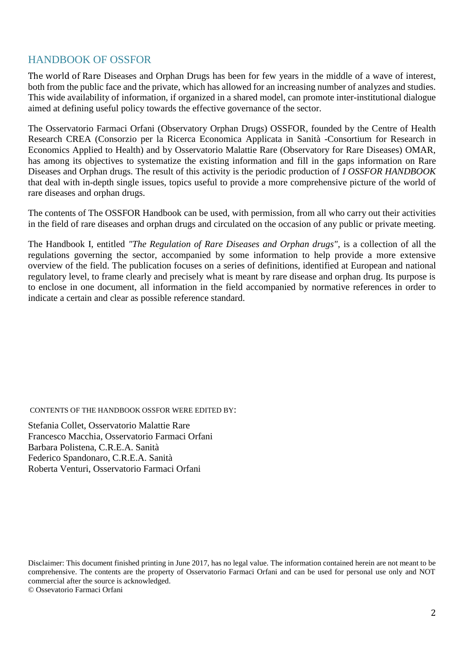## HANDBOOK OF OSSFOR

The world of Rare Diseases and Orphan Drugs has been for few years in the middle of a wave of interest, both from the public face and the private, which has allowed for an increasing number of analyzes and studies. This wide availability of information, if organized in a shared model, can promote inter-institutional dialogue aimed at defining useful policy towards the effective governance of the sector.

The Osservatorio Farmaci Orfani (Observatory Orphan Drugs) OSSFOR, founded by the Centre of Health Research CREA (Consorzio per la Ricerca Economica Applicata in Sanità -Consortium for Research in Economics Applied to Health) and by Osservatorio Malattie Rare (Observatory for Rare Diseases) OMAR, has among its objectives to systematize the existing information and fill in the gaps information on Rare Diseases and Orphan drugs. The result of this activity is the periodic production of *I OSSFOR HANDBOOK* that deal with in-depth single issues, topics useful to provide a more comprehensive picture of the world of rare diseases and orphan drugs.

The contents of The OSSFOR Handbook can be used, with permission, from all who carry out their activities in the field of rare diseases and orphan drugs and circulated on the occasion of any public or private meeting.

The Handbook I, entitled *"The Regulation of Rare Diseases and Orphan drugs",* is a collection of all the regulations governing the sector, accompanied by some information to help provide a more extensive overview of the field. The publication focuses on a series of definitions, identified at European and national regulatory level, to frame clearly and precisely what is meant by rare disease and orphan drug. Its purpose is to enclose in one document, all information in the field accompanied by normative references in order to indicate a certain and clear as possible reference standard.

CONTENTS OF THE HANDBOOK OSSFOR WERE EDITED BY:

Stefania Collet, Osservatorio Malattie Rare Francesco Macchia, Osservatorio Farmaci Orfani Barbara Polistena, C.R.E.A. Sanità Federico Spandonaro, C.R.E.A. Sanità Roberta Venturi, Osservatorio Farmaci Orfani

Disclaimer: This document finished printing in June 2017, has no legal value. The information contained herein are not meant to be comprehensive. The contents are the property of Osservatorio Farmaci Orfani and can be used for personal use only and NOT commercial after the source is acknowledged. © Ossevatorio Farmaci Orfani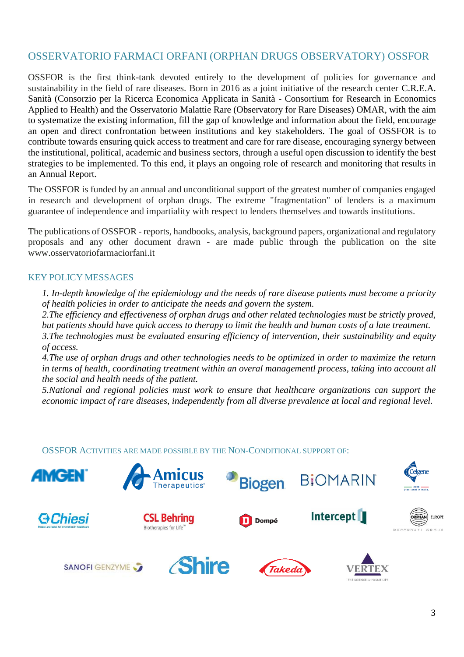## OSSERVATORIO FARMACI ORFANI (ORPHAN DRUGS OBSERVATORY) OSSFOR

OSSFOR is the first think-tank devoted entirely to the development of policies for governance and sustainability in the field of rare diseases. Born in 2016 as a joint initiative of the research center C.R.E.A. Sanità (Consorzio per la Ricerca Economica Applicata in Sanità - Consortium for Research in Economics Applied to Health) and the Osservatorio Malattie Rare (Observatory for Rare Diseases) OMAR, with the aim to systematize the existing information, fill the gap of knowledge and information about the field, encourage an open and direct confrontation between institutions and key stakeholders. The goal of OSSFOR is to contribute towards ensuring quick access to treatment and care for rare disease, encouraging synergy between the institutional, political, academic and business sectors, through a useful open discussion to identify the best strategies to be implemented. To this end, it plays an ongoing role of research and monitoring that results in an Annual Report.

The OSSFOR is funded by an annual and unconditional support of the greatest number of companies engaged in research and development of orphan drugs. The extreme "fragmentation" of lenders is a maximum guarantee of independence and impartiality with respect to lenders themselves and towards institutions.

The publications of OSSFOR - reports, handbooks, analysis, background papers, organizational and regulatory proposals and any other document drawn - are made public through the publication on the site [www.osservatoriofarmaciorfani.it](http://www.osservatoriofarmaciorfani.it/)

#### KEY POLICY MESSAGES

*1. In-depth knowledge of the epidemiology and the needs of rare disease patients must become a priority of health policies in order to anticipate the needs and govern the system.*

*2.The efficiency and effectiveness of orphan drugs and other related technologies must be strictly proved, but patients should have quick access to therapy to limit the health and human costs of a late treatment. 3.The technologies must be evaluated ensuring efficiency of intervention, their sustainability and equity of access.*

*4.The use of orphan drugs and other technologies needs to be optimized in order to maximize the return in terms of health, coordinating treatment within an overal managementl process, taking into account all the social and health needs of the patient.*

*5.National and regional policies must work to ensure that healthcare organizations can support the economic impact of rare diseases, independently from all diverse prevalence at local and regional level.*

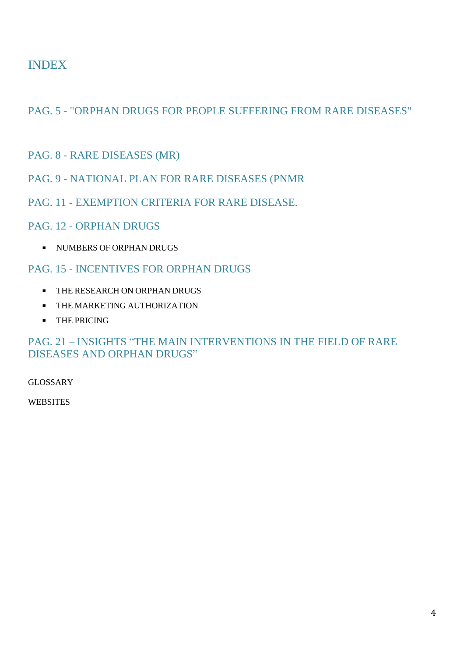## INDEX

PAG. 5 - "ORPHAN DRUGS FOR PEOPLE SUFFERING FROM RARE DISEASES"

- PAG. 8 RARE DISEASES (MR)
- PAG. 9 NATIONAL PLAN FOR RARE DISEASES (PNMR
- PAG. 11 EXEMPTION CRITERIA FOR RARE DISEASE.
- PAG. 12 ORPHAN DRUGS
	- UNIMBERS OF ORPHAN DRUGS

## PAG. 15 - INCENTIVES FOR ORPHAN DRUGS

- **THE RESEARCH ON ORPHAN DRUGS**
- **THE MARKETING AUTHORIZATION**
- **THE PRICING**

## PAG. 21 – INSIGHTS "THE MAIN INTERVENTIONS IN THE FIELD OF RARE DISEASES AND ORPHAN DRUGS"

GLOSSARY

**WEBSITES**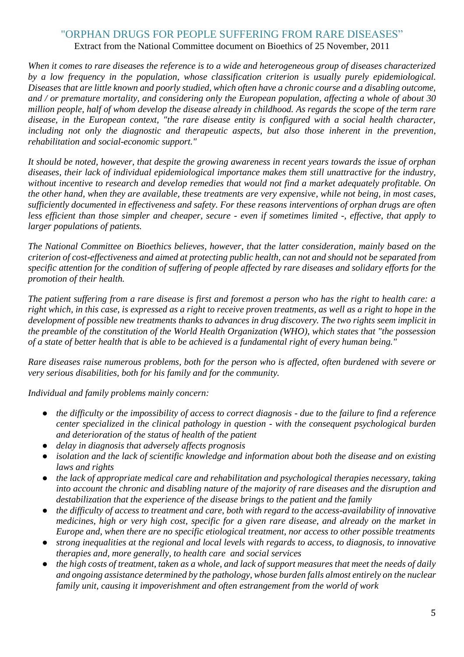## "ORPHAN DRUGS FOR PEOPLE SUFFERING FROM RARE DISEASES"

Extract from the National Committee document on Bioethics of 25 November, 2011

*When it comes to rare diseases the reference is to a wide and heterogeneous group of diseases characterized by a low frequency in the population, whose classification criterion is usually purely epidemiological. Diseases that are little known and poorly studied, which often have a chronic course and a disabling outcome, and / or premature mortality, and considering only the European population, affecting a whole of about 30 million people, half of whom develop the disease already in childhood. As regards the scope of the term rare disease, in the European context, "the rare disease entity is configured with a social health character, including not only the diagnostic and therapeutic aspects, but also those inherent in the prevention, rehabilitation and social-economic support."* 

*It should be noted, however, that despite the growing awareness in recent years towards the issue of orphan diseases, their lack of individual epidemiological importance makes them still unattractive for the industry, without incentive to research and develop remedies that would not find a market adequately profitable. On the other hand, when they are available, these treatments are very expensive, while not being, in most cases, sufficiently documented in effectiveness and safety. For these reasons interventions of orphan drugs are often less efficient than those simpler and cheaper, secure - even if sometimes limited -, effective, that apply to larger populations of patients.* 

*The National Committee on Bioethics believes, however, that the latter consideration, mainly based on the criterion of cost-effectiveness and aimed at protecting public health, can not and should not be separated from specific attention for the condition of suffering of people affected by rare diseases and solidary efforts for the promotion of their health.* 

*The patient suffering from a rare disease is first and foremost a person who has the right to health care: a right which, in this case, is expressed as a right to receive proven treatments, as well as a right to hope in the development of possible new treatments thanks to advances in drug discovery. The two rights seem implicit in the preamble of the constitution of the World Health Organization (WHO), which states that "the possession of a state of better health that is able to be achieved is a fundamental right of every human being."* 

*Rare diseases raise numerous problems, both for the person who is affected, often burdened with severe or very serious disabilities, both for his family and for the community.* 

*Individual and family problems mainly concern:* 

- *the difficulty or the impossibility of access to correct diagnosis - due to the failure to find a reference center specialized in the clinical pathology in question - with the consequent psychological burden and deterioration of the status of health of the patient*
- *delay in diagnosis that adversely affects prognosis*
- *isolation and the lack of scientific knowledge and information about both the disease and on existing laws and rights*
- *the lack of appropriate medical care and rehabilitation and psychological therapies necessary, taking into account the chronic and disabling nature of the majority of rare diseases and the disruption and destabilization that the experience of the disease brings to the patient and the family*
- *the difficulty of access to treatment and care, both with regard to the access-availability of innovative medicines, high or very high cost, specific for a given rare disease, and already on the market in Europe and, when there are no specific etiological treatment, nor access to other possible treatments*
- *strong inequalities at the regional and local levels with regards to access, to diagnosis, to innovative therapies and, more generally, to health care and social services*
- *the high costs of treatment, taken as a whole, and lack of support measures that meet the needs of daily and ongoing assistance determined by the pathology, whose burden falls almost entirely on the nuclear family unit, causing it impoverishment and often estrangement from the world of work*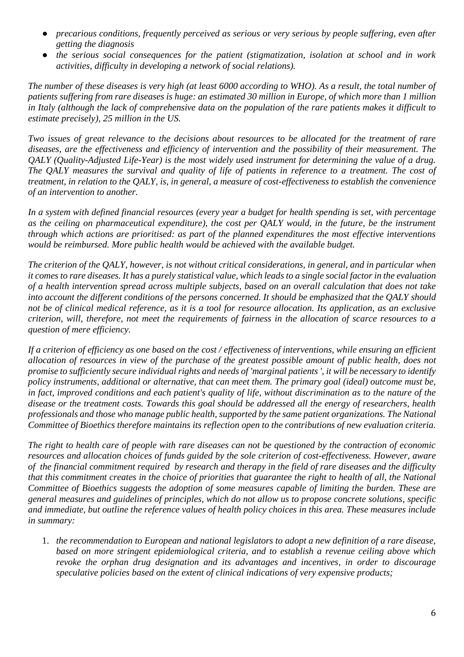- *precarious conditions, frequently perceived as serious or very serious by people suffering, even after getting the diagnosis*
- *the serious social consequences for the patient (stigmatization, isolation at school and in work activities, difficulty in developing a network of social relations).*

*The number of these diseases is very high (at least 6000 according to WHO). As a result, the total number of patients suffering from rare diseases is huge: an estimated 30 million in Europe, of which more than 1 million in Italy (although the lack of comprehensive data on the population of the rare patients makes it difficult to estimate precisely), 25 million in the US.* 

*Two issues of great relevance to the decisions about resources to be allocated for the treatment of rare diseases, are the effectiveness and efficiency of intervention and the possibility of their measurement. The QALY (Quality-Adjusted Life-Year) is the most widely used instrument for determining the value of a drug. The QALY measures the survival and quality of life of patients in reference to a treatment. The cost of treatment, in relation to the QALY, is, in general, a measure of cost-effectiveness to establish the convenience of an intervention to another.* 

*In a system with defined financial resources (every year a budget for health spending is set, with percentage as the ceiling on pharmaceutical expenditure), the cost per QALY would, in the future, be the instrument through which actions are prioritised: as part of the planned expenditures the most effective interventions would be reimbursed. More public health would be achieved with the available budget.* 

*The criterion of the QALY, however, is not without critical considerations, in general, and in particular when it comes to rare diseases. It has a purely statistical value, which leads to a single social factor in the evaluation of a health intervention spread across multiple subjects, based on an overall calculation that does not take into account the different conditions of the persons concerned. It should be emphasized that the QALY should not be of clinical medical reference, as it is a tool for resource allocation. Its application, as an exclusive criterion, will, therefore, not meet the requirements of fairness in the allocation of scarce resources to a question of mere efficiency.* 

*If a criterion of efficiency as one based on the cost / effectiveness of interventions, while ensuring an efficient allocation of resources in view of the purchase of the greatest possible amount of public health, does not promise to sufficiently secure individual rights and needs of 'marginal patients ', it will be necessary to identify policy instruments, additional or alternative, that can meet them. The primary goal (ideal) outcome must be,*  in fact, improved conditions and each patient's quality of life, without discrimination as to the nature of the *disease or the treatment costs. Towards this goal should be addressed all the energy of researchers, health professionals and those who manage public health, supported by the same patient organizations. The National Committee of Bioethics therefore maintains its reflection open to the contributions of new evaluation criteria.* 

*The right to health care of people with rare diseases can not be questioned by the contraction of economic resources and allocation choices of funds guided by the sole criterion of cost-effectiveness. However, aware of the financial commitment required by research and therapy in the field of rare diseases and the difficulty that this commitment creates in the choice of priorities that guarantee the right to health of all, the National Committee of Bioethics suggests the adoption of some measures capable of limiting the burden. These are general measures and guidelines of principles, which do not allow us to propose concrete solutions, specific and immediate, but outline the reference values of health policy choices in this area. These measures include in summary:* 

1. *the recommendation to European and national legislators to adopt a new definition of a rare disease, based on more stringent epidemiological criteria, and to establish a revenue ceiling above which revoke the orphan drug designation and its advantages and incentives, in order to discourage speculative policies based on the extent of clinical indications of very expensive products;*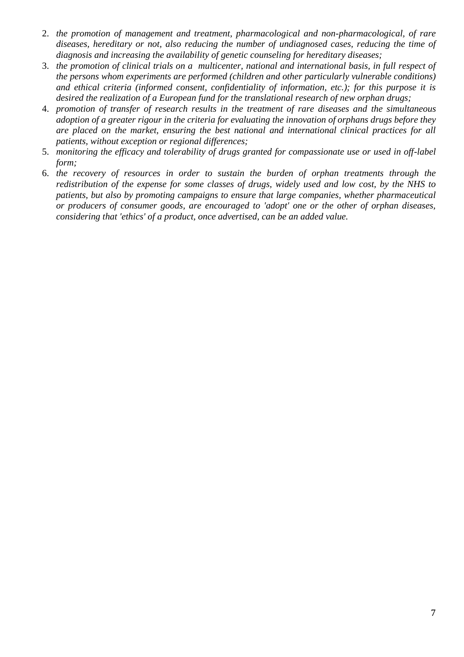- 2. *the promotion of management and treatment, pharmacological and non-pharmacological, of rare diseases, hereditary or not, also reducing the number of undiagnosed cases, reducing the time of diagnosis and increasing the availability of genetic counseling for hereditary diseases;*
- 3. *the promotion of clinical trials on a multicenter, national and international basis, in full respect of the persons whom experiments are performed (children and other particularly vulnerable conditions) and ethical criteria (informed consent, confidentiality of information, etc.); for this purpose it is desired the realization of a European fund for the translational research of new orphan drugs;*
- 4. *promotion of transfer of research results in the treatment of rare diseases and the simultaneous adoption of a greater rigour in the criteria for evaluating the innovation of orphans drugs before they are placed on the market, ensuring the best national and international clinical practices for all patients, without exception or regional differences;*
- 5. *monitoring the efficacy and tolerability of drugs granted for compassionate use or used in off-label form;*
- 6. *the recovery of resources in order to sustain the burden of orphan treatments through the redistribution of the expense for some classes of drugs, widely used and low cost, by the NHS to patients, but also by promoting campaigns to ensure that large companies, whether pharmaceutical or producers of consumer goods, are encouraged to 'adopt' one or the other of orphan diseases, considering that 'ethics' of a product, once advertised, can be an added value.*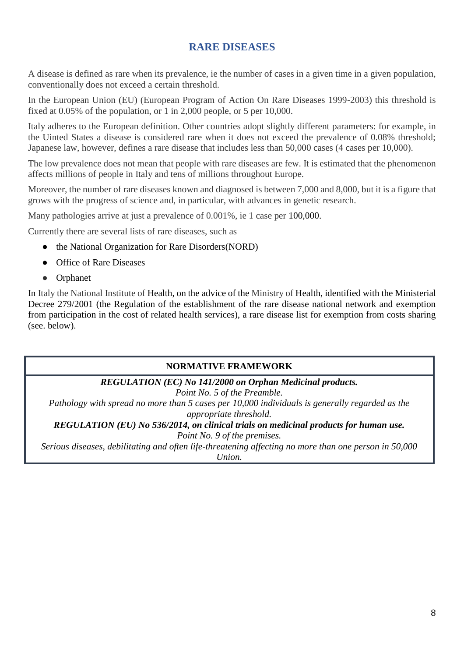## **RARE DISEASES**

A disease is defined as rare when its prevalence, ie the number of cases in a given time in a given population, conventionally does not exceed a certain threshold.

In the European Union (EU) (European Program of Action On Rare Diseases 1999-2003) this threshold is fixed at 0.05% of the population, or 1 in 2,000 people, or 5 per 10,000.

Italy adheres to the European definition. Other countries adopt slightly different parameters: for example, in the Uinted States a disease is considered rare when it does not exceed the prevalence of 0.08% threshold; Japanese law, however, defines a rare disease that includes less than 50,000 cases (4 cases per 10,000).

The low prevalence does not mean that people with rare diseases are few. It is estimated that the phenomenon affects millions of people in Italy and tens of millions throughout Europe.

Moreover, the number of rare diseases known and diagnosed is between 7,000 and 8,000, but it is a figure that grows with the progress of science and, in particular, with advances in genetic research.

Many pathologies arrive at just a prevalence of 0.001%, ie 1 case per 100,000.

Currently there are several lists of rare diseases, such as

- the National Organization for Rare Disorders (NORD)
- [Office of Rare Diseases](http://rarediseases.info.nih.gov/RareDiseaseList.aspx?PageID=1)
- [Orphanet](http://www.orpha.net/consor/cgi-bin/index.php?lng=IT)

In Italy the National Institute of Health, on the advice of the Ministry of Health, identified with the Ministerial Decree 279/2001 (the Regulation of the establishment of the rare disease national network and exemption from participation in the cost of related health services), a rare disease list for exemption from costs sharing (see. below).

#### **NORMATIVE FRAMEWORK**

*REGULATION (EC) No 141/2000 on Orphan Medicinal products.*

*Point No. 5 of the Preamble.*

*Pathology with spread no more than 5 cases per 10,000 individuals is generally regarded as the appropriate threshold.*

*REGULATION (EU) No 536/2014, on clinical trials on medicinal products for human use.*

*Point No. 9 of the premises.*

*Serious diseases, debilitating and often life-threatening affecting no more than one person in 50,000* 

*Union.*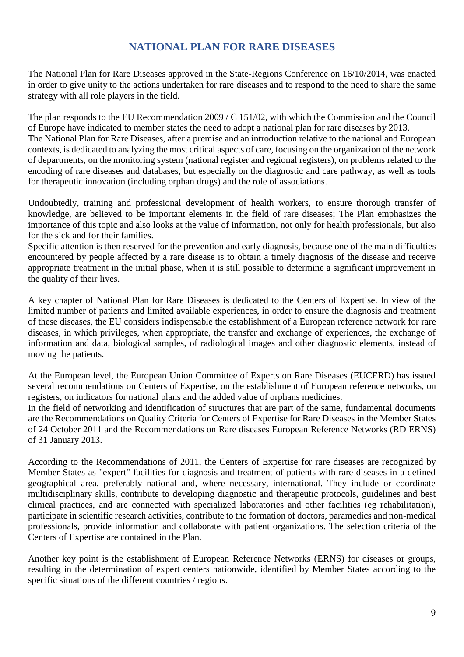## **NATIONAL PLAN FOR RARE DISEASES**

The National Plan for Rare Diseases approved in the State-Regions Conference on 16/10/2014, was enacted in order to give unity to the actions undertaken for rare diseases and to respond to the need to share the same strategy with all role players in the field.

The plan responds to the EU Recommendation 2009 / C 151/02, with which the Commission and the Council of Europe have indicated to member states the need to adopt a national plan for rare diseases by 2013. The National Plan for Rare Diseases, after a premise and an introduction relative to the national and European contexts, is dedicated to analyzing the most critical aspects of care, focusing on the organization of the network of departments, on the monitoring system (national register and regional registers), on problems related to the encoding of rare diseases and databases, but especially on the diagnostic and care pathway, as well as tools for therapeutic innovation (including orphan drugs) and the role of associations.

Undoubtedly, training and professional development of health workers, to ensure thorough transfer of knowledge, are believed to be important elements in the field of rare diseases; The Plan emphasizes the importance of this topic and also looks at the value of information, not only for health professionals, but also for the sick and for their families.

Specific attention is then reserved for the prevention and early diagnosis, because one of the main difficulties encountered by people affected by a rare disease is to obtain a timely diagnosis of the disease and receive appropriate treatment in the initial phase, when it is still possible to determine a significant improvement in the quality of their lives.

A key chapter of National Plan for Rare Diseases is dedicated to the Centers of Expertise. In view of the limited number of patients and limited available experiences, in order to ensure the diagnosis and treatment of these diseases, the EU considers indispensable the establishment of a European reference network for rare diseases, in which privileges, when appropriate, the transfer and exchange of experiences, the exchange of information and data, biological samples, of radiological images and other diagnostic elements, instead of moving the patients.

At the European level, the European Union Committee of Experts on Rare Diseases (EUCERD) has issued several recommendations on Centers of Expertise, on the establishment of European reference networks, on registers, on indicators for national plans and the added value of orphans medicines.

In the field of networking and identification of structures that are part of the same, fundamental documents are the Recommendations on Quality Criteria for Centers of Expertise for Rare Diseases in the Member States of 24 October 2011 and the Recommendations on Rare diseases European Reference Networks (RD ERNS) of 31 January 2013.

According to the Recommendations of 2011, the Centers of Expertise for rare diseases are recognized by Member States as "expert" facilities for diagnosis and treatment of patients with rare diseases in a defined geographical area, preferably national and, where necessary, international. They include or coordinate multidisciplinary skills, contribute to developing diagnostic and therapeutic protocols, guidelines and best clinical practices, and are connected with specialized laboratories and other facilities (eg rehabilitation), participate in scientific research activities, contribute to the formation of doctors, paramedics and non-medical professionals, provide information and collaborate with patient organizations. The selection criteria of the Centers of Expertise are contained in the Plan.

Another key point is the establishment of European Reference Networks (ERNS) for diseases or groups, resulting in the determination of expert centers nationwide, identified by Member States according to the specific situations of the different countries / regions.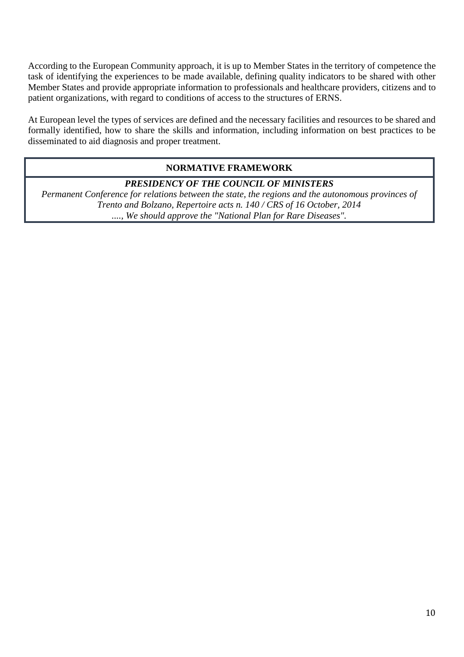According to the European Community approach, it is up to Member States in the territory of competence the task of identifying the experiences to be made available, defining quality indicators to be shared with other Member States and provide appropriate information to professionals and healthcare providers, citizens and to patient organizations, with regard to conditions of access to the structures of ERNS.

At European level the types of services are defined and the necessary facilities and resources to be shared and formally identified, how to share the skills and information, including information on best practices to be disseminated to aid diagnosis and proper treatment.

#### **NORMATIVE FRAMEWORK**

#### *PRESIDENCY OF THE COUNCIL OF MINISTERS*

*Permanent Conference for relations between the state, the regions and the autonomous provinces of Trento and Bolzano, Repertoire acts n. 140 / CRS of 16 October, 2014 ...., We should approve the "National Plan for Rare Diseases".*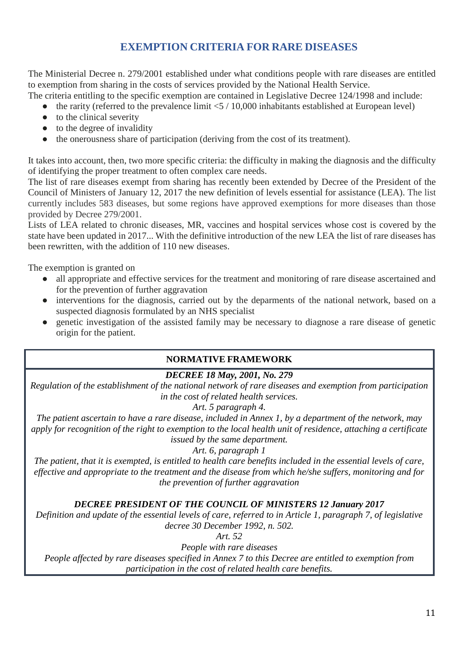## **EXEMPTION CRITERIA FOR RARE DISEASES**

The [Ministerial Decree n. 279/2001](http://www.trovanorme.salute.gov.it/norme/dettaglioAtto?id=17169&completo=true) established under what conditions people with rare diseases are entitled to exemption from sharing in the costs of services provided by the National Health Service.

The criteria entitling to the specific exemption are contained in Legislative Decree 124/1998 and include:

- the rarity (referred to the prevalence limit  $< 5 / 10,000$  inhabitants established at European level)
- $\bullet$  to the clinical severity
- to the degree of invalidity
- the onerousness share of participation (deriving from the cost of its treatment).

It takes into account, then, two more specific criteria: the difficulty in making the diagnosis and the difficulty of identifying the proper treatment to often complex care needs.

The list of rare diseases exempt from sharing has recently been extended by [Decree of the President of the](http://www.salute.gov.it/portale/esenzioni/dettaglioContenutiEsenzioni.jsp?lingua=italiano&id=4773&area=esenzioni&menu=vuoto)  [Council of Ministers of January 12, 2017](http://www.salute.gov.it/portale/esenzioni/dettaglioContenutiEsenzioni.jsp?lingua=italiano&id=4773&area=esenzioni&menu=vuoto) the new definition of levels essential for assistance (LEA). The list currently includes 583 diseases, but some regions have approved exemptions for more diseases than those provided by Decree 279/2001.

Lists of LEA related to chronic diseases, MR, vaccines and hospital services whose cost is covered by the state have been updated in 2017... With the definitive introduction of the new LEA the list of rare diseases has been rewritten, with the addition of 110 new diseases.

The exemption is granted on

- all appropriate and effective services for the treatment and monitoring of rare disease ascertained and for the prevention of further aggravation
- interventions for the diagnosis, carried out by the deparments of the national network, based on a suspected diagnosis formulated by an NHS specialist
- genetic investigation of the assisted family may be necessary to diagnose a rare disease of genetic origin for the patient.

### **NORMATIVE FRAMEWORK**

#### *DECREE 18 May, 2001, No. 279*

*Regulation of the establishment of the national network of rare diseases and exemption from participation in the cost of related health services.*

*Art. 5 paragraph 4.*

*The patient ascertain to have a rare disease, included in Annex 1, by a department of the network, may apply for recognition of the right to exemption to the local health unit of residence, attaching a certificate issued by the same department.*

*Art. 6, paragraph 1*

*The patient, that it is exempted, is entitled to health care benefits included in the essential levels of care, effective and appropriate to the treatment and the disease from which he/she suffers, monitoring and for the prevention of further aggravation*

#### *DECREE PRESIDENT OF THE COUNCIL OF MINISTERS 12 January 2017*

*Definition and update of the essential levels of care, referred to in Article 1, paragraph 7, of legislative decree 30 December 1992, n. 502.*

*Art. 52*

*People with rare diseases*

*People affected by rare diseases specified in Annex 7 to this Decree are entitled to exemption from participation in the cost of related health care benefits.*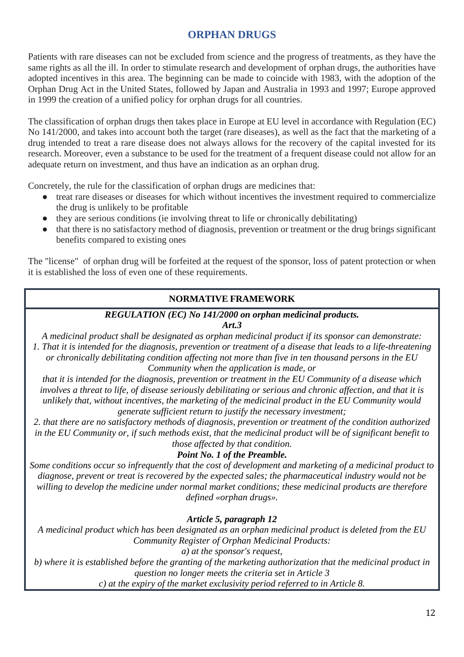## **ORPHAN DRUGS**

Patients with rare diseases can not be excluded from science and the progress of treatments, as they have the same rights as all the ill. In order to stimulate research and development of orphan drugs, the authorities have adopted incentives in this area. The beginning can be made to coincide with 1983, with the adoption of the Orphan Drug Act in the United States, followed by Japan and Australia in 1993 and 1997; Europe approved in 1999 the creation of a unified policy for orphan drugs for all countries.

The classification of orphan drugs then takes place in Europe at EU level in accordance with Regulation (EC) No 141/2000, and takes into account both the target (rare diseases), as well as the fact that the marketing of a drug intended to treat a rare disease does not always allows for the recovery of the capital invested for its research. Moreover, even a substance to be used for the treatment of a frequent disease could not allow for an adequate return on investment, and thus have an indication as an orphan drug.

Concretely, the rule for the classification of orphan drugs are medicines that:

- treat rare diseases or diseases for which without incentives the investment required to commercialize the drug is unlikely to be profitable
- they are serious conditions (ie involving threat to life or chronically debilitating)
- that there is no satisfactory method of diagnosis, prevention or treatment or the drug brings significant benefits compared to existing ones

The "license" of orphan drug will be forfeited at the request of the sponsor, loss of patent protection or when it is established the loss of even one of these requirements.

#### **NORMATIVE FRAMEWORK**

#### *REGULATION (EC) No 141/2000 on orphan medicinal products.*

*Art.3*

*A medicinal product shall be designated as orphan medicinal product if its sponsor can demonstrate: 1. That it is intended for the diagnosis, prevention or treatment of a disease that leads to a life-threatening or chronically debilitating condition affecting not more than five in ten thousand persons in the EU Community when the application is made, or*

*that it is intended for the diagnosis, prevention or treatment in the EU Community of a disease which involves a threat to life, of disease seriously debilitating or serious and chronic affection, and that it is unlikely that, without incentives, the marketing of the medicinal product in the EU Community would generate sufficient return to justify the necessary investment;*

*2. that there are no satisfactory methods of diagnosis, prevention or treatment of the condition authorized in the EU Community or, if such methods exist, that the medicinal product will be of significant benefit to those affected by that condition.*

#### *Point No. 1 of the Preamble.*

*Some conditions occur so infrequently that the cost of development and marketing of a medicinal product to diagnose, prevent or treat is recovered by the expected sales; the pharmaceutical industry would not be willing to develop the medicine under normal market conditions; these medicinal products are therefore defined «orphan drugs».*

#### *Article 5, paragraph 12*

*A medicinal product which has been designated as an orphan medicinal product is deleted from the EU Community Register of Orphan Medicinal Products:*

*a) at the sponsor's request,*

*b) where it is established before the granting of the marketing authorization that the medicinal product in question no longer meets the criteria set in Article 3*

*c) at the expiry of the market exclusivity period referred to in Article 8.*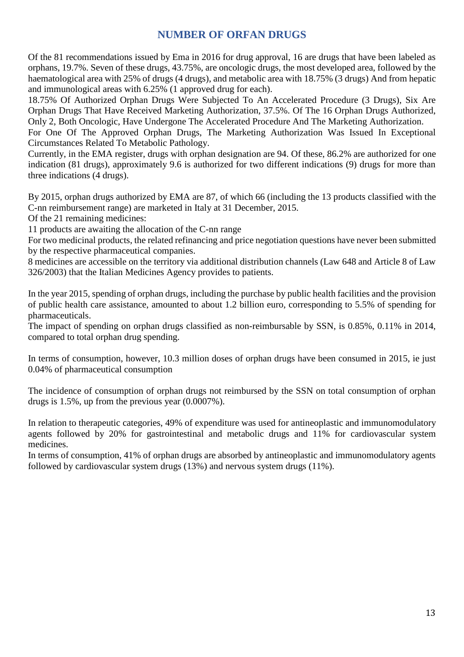## **NUMBER OF ORFAN DRUGS**

Of the 81 recommendations issued by Ema in 2016 for drug approval, 16 are drugs that have been labeled as orphans, 19.7%. Seven of these drugs, 43.75%, are oncologic drugs, the most developed area, followed by the haematological area with 25% of drugs (4 drugs), and metabolic area with 18.75% (3 drugs) And from hepatic and immunological areas with 6.25% (1 approved drug for each).

18.75% Of Authorized Orphan Drugs Were Subjected To An Accelerated Procedure (3 Drugs), Six Are Orphan Drugs That Have Received Marketing Authorization, 37.5%. Of The 16 Orphan Drugs Authorized, Only 2, Both Oncologic, Have Undergone The Accelerated Procedure And The Marketing Authorization.

For One Of The Approved Orphan Drugs, The Marketing Authorization Was Issued In Exceptional Circumstances Related To Metabolic Pathology.

Currently, in the EMA register, drugs with orphan designation are 94. Of these, 86.2% are authorized for one indication (81 drugs), approximately 9.6 is authorized for two different indications (9) drugs for more than three indications (4 drugs).

By 2015, orphan drugs authorized by EMA are 87, of which 66 (including the 13 products classified with the C-nn reimbursement range) are marketed in Italy at 31 December, 2015.

Of the 21 remaining medicines:

11 products are awaiting the allocation of the C-nn range

For two medicinal products, the related refinancing and price negotiation questions have never been submitted by the respective pharmaceutical companies.

8 medicines are accessible on the territory via additional distribution channels (Law 648 and Article 8 of Law 326/2003) that the Italian Medicines Agency provides to patients.

In the year 2015, spending of orphan drugs, including the purchase by public health facilities and the provision of public health care assistance, amounted to about 1.2 billion euro, corresponding to 5.5% of spending for pharmaceuticals.

The impact of spending on orphan drugs classified as non-reimbursable by SSN, is 0.85%, 0.11% in 2014, compared to total orphan drug spending.

In terms of consumption, however, 10.3 million doses of orphan drugs have been consumed in 2015, ie just 0.04% of pharmaceutical consumption

The incidence of consumption of orphan drugs not reimbursed by the SSN on total consumption of orphan drugs is 1.5%, up from the previous year (0.0007%).

In relation to therapeutic categories, 49% of expenditure was used for antineoplastic and immunomodulatory agents followed by 20% for gastrointestinal and metabolic drugs and 11% for cardiovascular system medicines.

In terms of consumption, 41% of orphan drugs are absorbed by antineoplastic and immunomodulatory agents followed by cardiovascular system drugs (13%) and nervous system drugs (11%).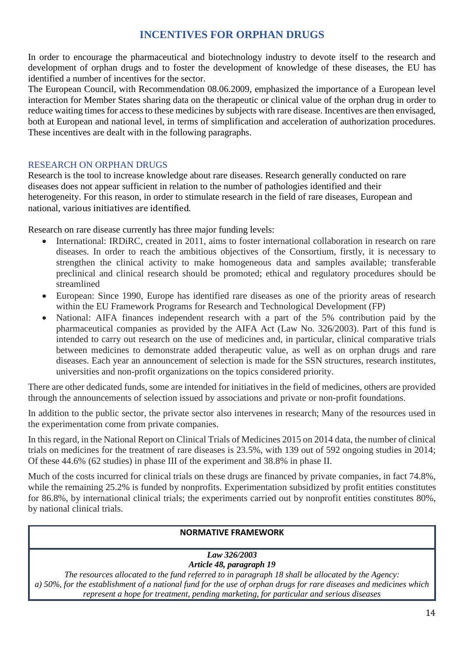## **INCENTIVES FOR ORPHAN DRUGS**

In order to encourage the pharmaceutical and biotechnology industry to devote itself to the research and development of orphan drugs and to foster the development of knowledge of these diseases, the EU has identified a number of incentives for the sector.

The European Council, with Recommendation 08.06.2009, emphasized the importance of a European level interaction for Member States sharing data on the therapeutic or clinical value of the orphan drug in order to reduce waiting times for access to these medicines by subjects with rare disease. Incentives are then envisaged, both at European and national level, in terms of simplification and acceleration of authorization procedures. These incentives are dealt with in the following paragraphs.

#### RESEARCH ON ORPHAN DRUGS

Research is the tool to increase knowledge about rare diseases. Research generally conducted on rare diseases does not appear sufficient in relation to the number of pathologies identified and their heterogeneity. For this reason, in order to stimulate research in the field of rare diseases, European and national, various initiatives are identified.

Research on rare disease currently has three major funding levels:

- International: IRDiRC, created in 2011, aims to foster international collaboration in research on rare diseases. In order to reach the ambitious objectives of the Consortium, firstly, it is necessary to strengthen the clinical activity to make homogeneous data and samples available; transferable preclinical and clinical research should be promoted; ethical and regulatory procedures should be streamlined
- European: Since 1990, Europe has identified rare diseases as one of the priority areas of research within the EU Framework Programs for Research and Technological Development (FP)
- National: AIFA finances independent research with a part of the 5% contribution paid by the pharmaceutical companies as provided by the AIFA Act (Law No. 326/2003). Part of this fund is intended to carry out research on the use of medicines and, in particular, clinical comparative trials between medicines to demonstrate added therapeutic value, as well as on orphan drugs and rare diseases. Each year an announcement of selection is made for the SSN structures, research institutes, universities and non-profit organizations on the topics considered priority.

There are other dedicated funds, some are intended for initiatives in the field of medicines, others are provided through the announcements of selection issued by associations and private or non-profit foundations.

In addition to the public sector, the private sector also intervenes in research; Many of the resources used in the experimentation come from private companies.

In this regard, in the National Report on Clinical Trials of Medicines 2015 on 2014 data, the number of clinical trials on medicines for the treatment of rare diseases is 23.5%, with 139 out of 592 ongoing studies in 2014; Of these 44.6% (62 studies) in phase III of the experiment and 38.8% in phase II.

Much of the costs incurred for clinical trials on these drugs are financed by private companies, in fact 74.8%, while the remaining 25.2% is funded by nonprofits. Experimentation subsidized by profit entities constitutes for 86.8%, by international clinical trials; the experiments carried out by nonprofit entities constitutes 80%, by national clinical trials.

#### **NORMATIVE FRAMEWORK**

#### *Law 326/2003 Article 48, paragraph 19*

*The resources allocated to the fund referred to in paragraph 18 shall be allocated by the Agency: a) 50%, for the establishment of a national fund for the use of orphan drugs for rare diseases and medicines which represent a hope for treatment, pending marketing, for particular and serious diseases*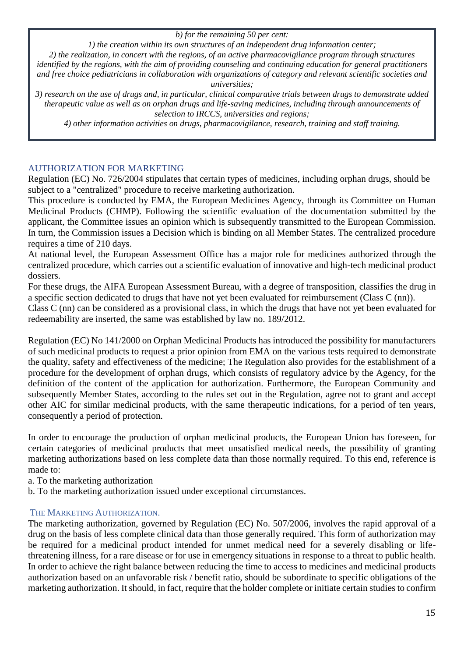*b) for the remaining 50 per cent:*

*1) the creation within its own structures of an independent drug information center;*

*2) the realization, in concert with the regions, of an active pharmacovigilance program through structures identified by the regions, with the aim of providing counseling and continuing education for general practitioners and free choice pediatricians in collaboration with organizations of category and relevant scientific societies and universities;*

*3) research on the use of drugs and, in particular, clinical comparative trials between drugs to demonstrate added therapeutic value as well as on orphan drugs and life-saving medicines, including through announcements of selection to IRCCS, universities and regions;*

*4) other information activities on drugs, pharmacovigilance, research, training and staff training.*

#### AUTHORIZATION FOR MARKETING

Regulation (EC) No. 726/2004 stipulates that certain types of medicines, including orphan drugs, should be subject to a "centralized" procedure to receive marketing authorization.

This procedure is conducted by EMA, the European Medicines Agency, through its Committee on Human Medicinal Products (CHMP). Following the scientific evaluation of the documentation submitted by the applicant, the Committee issues an opinion which is subsequently transmitted to the European Commission. In turn, the Commission issues a Decision which is binding on all Member States. The centralized procedure requires a time of 210 days.

At national level, the European Assessment Office has a major role for medicines authorized through the centralized procedure, which carries out a scientific evaluation of innovative and high-tech medicinal product dossiers.

For these drugs, the AIFA European Assessment Bureau, with a degree of transposition, classifies the drug in a specific section dedicated to drugs that have not yet been evaluated for reimbursement (Class C (nn)).

Class C (nn) can be considered as a provisional class, in which the drugs that have not yet been evaluated for redeemability are inserted, the same was established by law no. 189/2012.

Regulation (EC) No 141/2000 on Orphan Medicinal Products has introduced the possibility for manufacturers of such medicinal products to request a prior opinion from EMA on the various tests required to demonstrate the quality, safety and effectiveness of the medicine; The Regulation also provides for the establishment of a procedure for the development of orphan drugs, which consists of regulatory advice by the Agency, for the definition of the content of the application for authorization. Furthermore, the European Community and subsequently Member States, according to the rules set out in the Regulation, agree not to grant and accept other AIC for similar medicinal products, with the same therapeutic indications, for a period of ten years, consequently a period of protection.

In order to encourage the production of orphan medicinal products, the European Union has foreseen, for certain categories of medicinal products that meet unsatisfied medical needs, the possibility of granting marketing authorizations based on less complete data than those normally required. To this end, reference is made to:

a. To the marketing authorization

b. To the marketing authorization issued under exceptional circumstances.

#### THE MARKETING AUTHORIZATION.

The marketing authorization, governed by Regulation (EC) No. 507/2006, involves the rapid approval of a drug on the basis of less complete clinical data than those generally required. This form of authorization may be required for a medicinal product intended for unmet medical need for a severely disabling or lifethreatening illness, for a rare disease or for use in emergency situations in response to a threat to public health. In order to achieve the right balance between reducing the time to access to medicines and medicinal products authorization based on an unfavorable risk / benefit ratio, should be subordinate to specific obligations of the marketing authorization. It should, in fact, require that the holder complete or initiate certain studies to confirm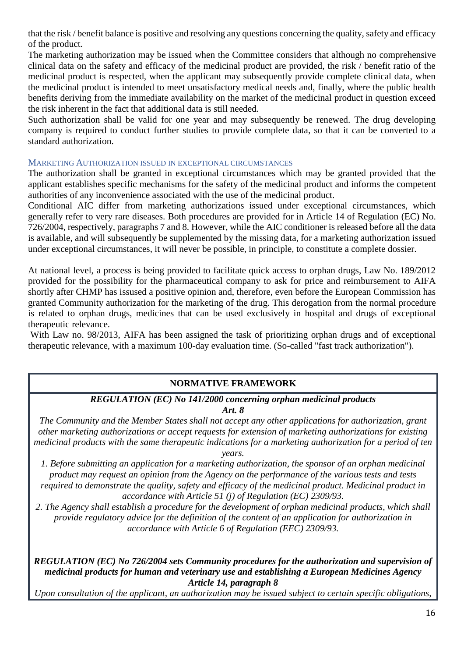that the risk / benefit balance is positive and resolving any questions concerning the quality, safety and efficacy of the product.

The marketing authorization may be issued when the Committee considers that although no comprehensive clinical data on the safety and efficacy of the medicinal product are provided, the risk / benefit ratio of the medicinal product is respected, when the applicant may subsequently provide complete clinical data, when the medicinal product is intended to meet unsatisfactory medical needs and, finally, where the public health benefits deriving from the immediate availability on the market of the medicinal product in question exceed the risk inherent in the fact that additional data is still needed.

Such authorization shall be valid for one year and may subsequently be renewed. The drug developing company is required to conduct further studies to provide complete data, so that it can be converted to a standard authorization.

#### MARKETING AUTHORIZATION ISSUED IN EXCEPTIONAL CIRCUMSTANCES

The authorization shall be granted in exceptional circumstances which may be granted provided that the applicant establishes specific mechanisms for the safety of the medicinal product and informs the competent authorities of any inconvenience associated with the use of the medicinal product.

Conditional AIC differ from marketing authorizations issued under exceptional circumstances, which generally refer to very rare diseases. Both procedures are provided for in Article 14 of Regulation (EC) No. 726/2004, respectively, paragraphs 7 and 8. However, while the AIC conditioner is released before all the data is available, and will subsequently be supplemented by the missing data, for a marketing authorization issued under exceptional circumstances, it will never be possible, in principle, to constitute a complete dossier.

At national level, a process is being provided to facilitate quick access to orphan drugs, Law No. 189/2012 provided for the possibility for the pharmaceutical company to ask for price and reimbursement to AIFA shortly after CHMP has issused a positive opinion and, therefore, even before the European Commission has granted Community authorization for the marketing of the drug. This derogation from the normal procedure is related to orphan drugs, medicines that can be used exclusively in hospital and drugs of exceptional therapeutic relevance.

With Law no. 98/2013, AIFA has been assigned the task of prioritizing orphan drugs and of exceptional therapeutic relevance, with a maximum 100-day evaluation time. (So-called "fast track authorization").

#### **NORMATIVE FRAMEWORK**

#### *REGULATION (EC) No 141/2000 concerning orphan medicinal products*

*Art. 8*

*The Community and the Member States shall not accept any other applications for authorization, grant other marketing authorizations or accept requests for extension of marketing authorizations for existing medicinal products with the same therapeutic indications for a marketing authorization for a period of ten years.*

*1. Before submitting an application for a marketing authorization, the sponsor of an orphan medicinal product may request an opinion from the Agency on the performance of the various tests and tests required to demonstrate the quality, safety and efficacy of the medicinal product. Medicinal product in accordance with Article 51 (j) of Regulation (EC) 2309/93.*

2. The Agency shall establish a procedure for the development of orphan medicinal products, which shall *provide regulatory advice for the definition of the content of an application for authorization in accordance with Article 6 of Regulation (EEC) 2309/93.*

*REGULATION (EC) No 726/2004 sets Community procedures for the authorization and supervision of medicinal products for human and veterinary use and establishing a European Medicines Agency Article 14, paragraph 8*

*Upon consultation of the applicant, an authorization may be issued subject to certain specific obligations,*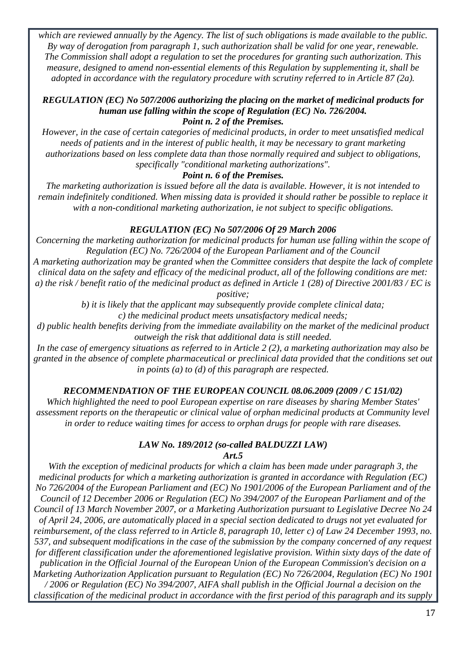*which are reviewed annually by the Agency. The list of such obligations is made available to the public. By way of derogation from paragraph 1, such authorization shall be valid for one year, renewable. The Commission shall adopt a regulation to set the procedures for granting such authorization. This measure, designed to amend non-essential elements of this Regulation by supplementing it, shall be adopted in accordance with the regulatory procedure with scrutiny referred to in Article 87 (2a).*

#### *REGULATION (EC) No 507/2006 authorizing the placing on the market of medicinal products for human use falling within the scope of Regulation (EC) No. 726/2004. Point n. 2 of the Premises.*

*However, in the case of certain categories of medicinal products, in order to meet unsatisfied medical needs of patients and in the interest of public health, it may be necessary to grant marketing authorizations based on less complete data than those normally required and subject to obligations, specifically "conditional marketing authorizations".*

#### *Point n. 6 of the Premises.*

*The marketing authorization is issued before all the data is available. However, it is not intended to remain indefinitely conditioned. When missing data is provided it should rather be possible to replace it with a non-conditional marketing authorization, ie not subject to specific obligations.*

#### *REGULATION (EC) No 507/2006 Of 29 March 2006*

*Concerning the marketing authorization for medicinal products for human use falling within the scope of Regulation (EC) No. 726/2004 of the European Parliament and of the Council*

*A marketing authorization may be granted when the Committee considers that despite the lack of complete clinical data on the safety and efficacy of the medicinal product, all of the following conditions are met: a) the risk / benefit ratio of the medicinal product as defined in Article 1 (28) of Directive 2001/83 / EC is* 

*positive;*

*b) it is likely that the applicant may subsequently provide complete clinical data;*

*c) the medicinal product meets unsatisfactory medical needs;*

*d) public health benefits deriving from the immediate availability on the market of the medicinal product outweigh the risk that additional data is still needed.*

*In the case of emergency situations as referred to in Article 2 (2), a marketing authorization may also be granted in the absence of complete pharmaceutical or preclinical data provided that the conditions set out in points (a) to (d) of this paragraph are respected.*

#### *RECOMMENDATION OF THE EUROPEAN COUNCIL 08.06.2009 (2009 / C 151/02)*

*Which highlighted the need to pool European expertise on rare diseases by sharing Member States' assessment reports on the therapeutic or clinical value of orphan medicinal products at Community level in order to reduce waiting times for access to orphan drugs for people with rare diseases.*

#### *LAW No. 189/2012 (so-called BALDUZZI LAW) Art.5*

*With the exception of medicinal products for which a claim has been made under paragraph 3, the medicinal products for which a marketing authorization is granted in accordance with Regulation (EC) No 726/2004 of the European Parliament and (EC) No 1901/2006 of the European Parliament and of the Council of 12 December 2006 or Regulation (EC) No 394/2007 of the European Parliament and of the Council of 13 March November 2007, or a Marketing Authorization pursuant to Legislative Decree No 24 of April 24, 2006, are automatically placed in a special section dedicated to drugs not yet evaluated for reimbursement, of the class referred to in Article 8, paragraph 10, letter c) of Law 24 December 1993, no. 537, and subsequent modifications in the case of the submission by the company concerned of any request for different classification under the aforementioned legislative provision. Within sixty days of the date of publication in the Official Journal of the European Union of the European Commission's decision on a Marketing Authorization Application pursuant to Regulation (EC) No 726/2004, Regulation (EC) No 1901 / 2006 or Regulation (EC) No 394/2007, AIFA shall publish in the Official Journal a decision on the classification of the medicinal product in accordance with the first period of this paragraph and its supply*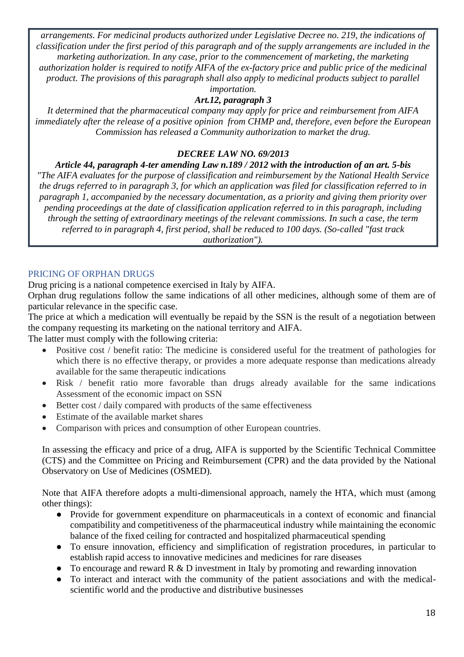*arrangements. For medicinal products authorized under Legislative Decree no. 219, the indications of classification under the first period of this paragraph and of the supply arrangements are included in the marketing authorization. In any case, prior to the commencement of marketing, the marketing authorization holder is required to notify AIFA of the ex-factory price and public price of the medicinal product. The provisions of this paragraph shall also apply to medicinal products subject to parallel importation.*

## *Art.12, paragraph 3*

*It determined that the pharmaceutical company may apply for price and reimbursement from AIFA immediately after the release of a positive opinion from CHMP and, therefore, even before the European Commission has released a Community authorization to market the drug.*

#### *DECREE LAW NO. 69/2013*

*Article 44, paragraph 4-ter amending Law n.189 / 2012 with the introduction of an art. 5-bis "The AIFA evaluates for the purpose of classification and reimbursement by the National Health Service the drugs referred to in paragraph 3, for which an application was filed for classification referred to in paragraph 1, accompanied by the necessary documentation, as a priority and giving them priority over pending proceedings at the date of classification application referred to in this paragraph, including through the setting of extraordinary meetings of the relevant commissions. In such a case, the term referred to in paragraph 4, first period, shall be reduced to 100 days. (So-called "fast track authorization").*

#### PRICING OF ORPHAN DRUGS

Drug pricing is a national competence exercised in Italy by AIFA.

Orphan drug regulations follow the same indications of all other medicines, although some of them are of particular relevance in the specific case.

The price at which a medication will eventually be repaid by the SSN is the result of a negotiation between the company requesting its marketing on the national territory and AIFA.

The latter must comply with the following criteria:

- Positive cost / benefit ratio: The medicine is considered useful for the treatment of pathologies for which there is no effective therapy, or provides a more adequate response than medications already available for the same therapeutic indications
- Risk / benefit ratio more favorable than drugs already available for the same indications Assessment of the economic impact on SSN
- Better cost / daily compared with products of the same effectiveness
- Estimate of the available market shares
- Comparison with prices and consumption of other European countries.

In assessing the efficacy and price of a drug, AIFA is supported by the Scientific Technical Committee (CTS) and the Committee on Pricing and Reimbursement (CPR) and the data provided by the National Observatory on Use of Medicines (OSMED).

Note that AIFA therefore adopts a multi-dimensional approach, namely the HTA, which must (among other things):

- Provide for government expenditure on pharmaceuticals in a context of economic and financial compatibility and competitiveness of the pharmaceutical industry while maintaining the economic balance of the fixed ceiling for contracted and hospitalized pharmaceutical spending
- To ensure innovation, efficiency and simplification of registration procedures, in particular to establish rapid access to innovative medicines and medicines for rare diseases
- To encourage and reward R & D investment in Italy by promoting and rewarding innovation
- To interact and interact with the community of the patient associations and with the medicalscientific world and the productive and distributive businesses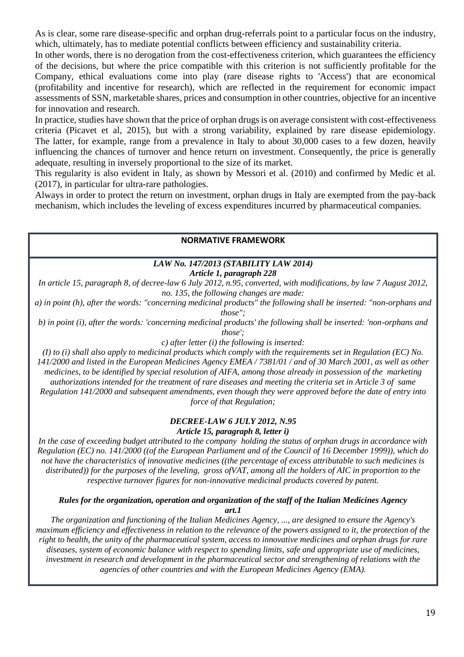As is clear, some rare disease-specific and orphan drug-referrals point to a particular focus on the industry, which, ultimately, has to mediate potential conflicts between efficiency and sustainability criteria.

In other words, there is no derogation from the cost-effectiveness criterion, which guarantees the efficiency of the decisions, but where the price compatible with this criterion is not sufficiently profitable for the Company, ethical evaluations come into play (rare disease rights to 'Access') that are economical (profitability and incentive for research), which are reflected in the requirement for economic impact assessments of SSN, marketable shares, prices and consumption in other countries, objective for an incentive for innovation and research.

In practice, studies have shown that the price of orphan drugs is on average consistent with cost-effectiveness criteria (Picavet et al, 2015), but with a strong variability, explained by rare disease epidemiology. The latter, for example, range from a prevalence in Italy to about 30,000 cases to a few dozen, heavily influencing the chances of turnover and hence return on investment. Consequently, the price is generally adequate, resulting in inversely proportional to the size of its market.

This regularity is also evident in Italy, as shown by Messori et al. (2010) and confirmed by Medic et al. (2017), in particular for ultra-rare pathologies.

Always in order to protect the return on investment, orphan drugs in Italy are exempted from the pay-back mechanism, which includes the leveling of excess expenditures incurred by pharmaceutical companies.

#### **NORMATIVE FRAMEWORK**

#### *LAW No. 147/2013 (STABILITY LAW 2014)*

*Article 1, paragraph 228*

*In article 15, paragraph 8, of decree-law 6 July 2012, n.95, converted, with modifications, by law 7 August 2012, no. 135, the following changes are made:*

*a) in point (h), after the words: "concerning medicinal products" the following shall be inserted: "non-orphans and those";*

*b) in point (i), after the words: 'concerning medicinal products' the following shall be inserted: 'non-orphans and those';*

*c) after letter (i) the following is inserted:*

*(I) to (i) shall also apply to medicinal products which comply with the requirements set in Regulation (EC) No. 141/2000 and listed in the European Medicines Agency EMEA / 7381/01 / and of 30 March 2001, as well as other medicines, to be identified by special resolution of AIFA, among those already in possession of the marketing authorizations intended for the treatment of rare diseases and meeting the criteria set in Article 3 of same Regulation 141/2000 and subsequent amendments, even though they were approved before the date of entry into force of that Regulation;* 

#### *DECREE-LAW 6 JULY 2012, N.95 Article 15, paragraph 8, letter i)*

*In the case of exceeding budget attributed to the company holding the status of orphan drugs in accordance with Regulation (EC) no. 141/2000 ((of the European Parliament and of the Council of 16 December 1999)), which do not have the characteristics of innovative medicines ((the percentage of excess attributable to such medicines is distributed)) for the purposes of the leveling, gross ofVAT, among all the holders of AIC in proportion to the respective turnover figures for non-innovative medicinal products covered by patent.*

#### *Rules for the organization, operation and organization of the staff of the Italian Medicines Agency art.1*

*The organization and functioning of the Italian Medicines Agency, ..., are designed to ensure the Agency's maximum efficiency and effectiveness in relation to the relevance of the powers assigned to it, the protection of the right to health, the unity of the pharmaceutical system, access to innovative medicines and orphan drugs for rare diseases, system of economic balance with respect to spending limits, safe and appropriate use of medicines, investment in research and development in the pharmaceutical sector and strengthening of relations with the agencies of other countries and with the European Medicines Agency (EMA).*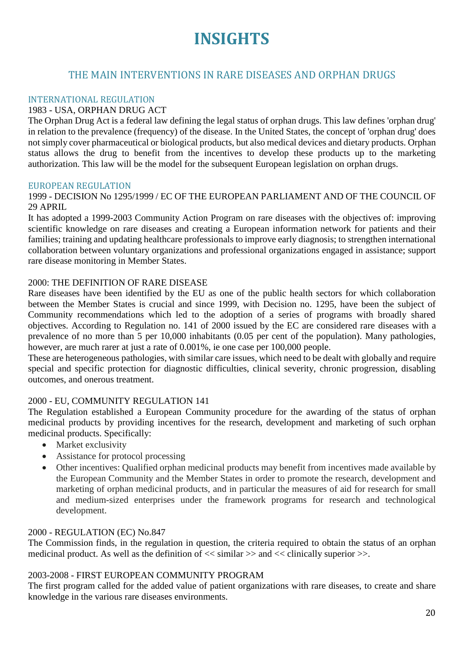## **INSIGHTS**

## THE MAIN INTERVENTIONS IN RARE DISEASES AND ORPHAN DRUGS

#### INTERNATIONAL REGULATION

#### 1983 - USA, ORPHAN DRUG ACT

The Orphan Drug Act is a federal law defining the legal status of orphan drugs. This law defines 'orphan drug' in relation to the prevalence (frequency) of the disease. In the United States, the concept of 'orphan drug' does not simply cover pharmaceutical or biological products, but also medical devices and dietary products. Orphan status allows the drug to benefit from the incentives to develop these products up to the marketing authorization. This law will be the model for the subsequent European legislation on orphan drugs.

#### EUROPEAN REGULATION

#### 1999 - DECISION No 1295/1999 / EC OF THE EUROPEAN PARLIAMENT AND OF THE COUNCIL OF 29 APRIL

It has adopted a 1999-2003 Community Action Program on rare diseases with the objectives of: improving scientific knowledge on rare diseases and creating a European information network for patients and their families; training and updating healthcare professionals to improve early diagnosis; to strengthen international collaboration between voluntary organizations and professional organizations engaged in assistance; support rare disease monitoring in Member States.

#### 2000: THE DEFINITION OF RARE DISEASE

Rare diseases have been identified by the EU as one of the public health sectors for which collaboration between the Member States is crucial and since 1999, with Decision no. 1295, have been the subject of Community recommendations which led to the adoption of a series of programs with broadly shared objectives. According to Regulation no. 141 of 2000 issued by the EC are considered rare diseases with a prevalence of no more than 5 per 10,000 inhabitants (0.05 per cent of the population). Many pathologies, however, are much rarer at just a rate of  $0.001\%$ , ie one case per 100,000 people.

These are heterogeneous pathologies, with similar care issues, which need to be dealt with globally and require special and specific protection for diagnostic difficulties, clinical severity, chronic progression, disabling outcomes, and onerous treatment.

#### 2000 - EU, COMMUNITY REGULATION 141

The Regulation established a European Community procedure for the awarding of the status of orphan medicinal products by providing incentives for the research, development and marketing of such orphan medicinal products. Specifically:

- Market exclusivity
- Assistance for protocol processing
- Other incentives: Qualified orphan medicinal products may benefit from incentives made available by the European Community and the Member States in order to promote the research, development and marketing of orphan medicinal products, and in particular the measures of aid for research for small and medium-sized enterprises under the framework programs for research and technological development.

#### 2000 - REGULATION (EC) No.847

The Commission finds, in the regulation in question, the criteria required to obtain the status of an orphan medicinal product. As well as the definition of  $<<$  similar  $>>$  and  $<<$  clinically superior  $>>$ .

#### 2003-2008 - FIRST EUROPEAN COMMUNITY PROGRAM

The first program called for the added value of patient organizations with rare diseases, to create and share knowledge in the various rare diseases environments.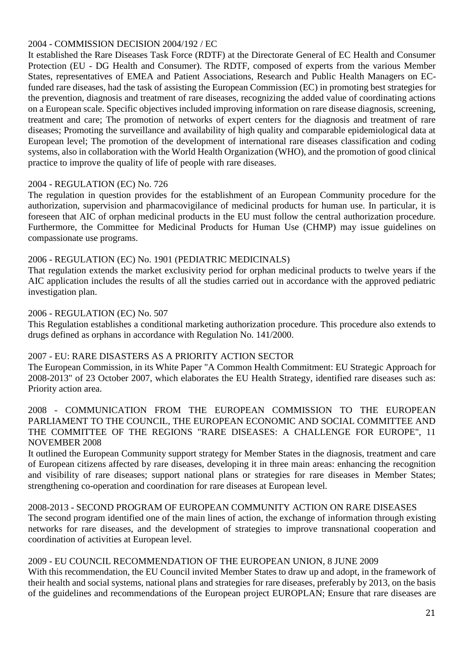#### 2004 - COMMISSION DECISION 2004/192 / EC

It established the Rare Diseases Task Force (RDTF) at the Directorate General of EC Health and Consumer Protection (EU - DG Health and Consumer). The RDTF, composed of experts from the various Member States, representatives of EMEA and Patient Associations, Research and Public Health Managers on ECfunded rare diseases, had the task of assisting the European Commission (EC) in promoting best strategies for the prevention, diagnosis and treatment of rare diseases, recognizing the added value of coordinating actions on a European scale. Specific objectives included improving information on rare disease diagnosis, screening, treatment and care; The promotion of networks of expert centers for the diagnosis and treatment of rare diseases; Promoting the surveillance and availability of high quality and comparable epidemiological data at European level; The promotion of the development of international rare diseases classification and coding systems, also in collaboration with the World Health Organization (WHO), and the promotion of good clinical practice to improve the quality of life of people with rare diseases.

#### 2004 - REGULATION (EC) No. 726

The regulation in question provides for the establishment of an European Community procedure for the authorization, supervision and pharmacovigilance of medicinal products for human use. In particular, it is foreseen that AIC of orphan medicinal products in the EU must follow the central authorization procedure. Furthermore, the Committee for Medicinal Products for Human Use (CHMP) may issue guidelines on compassionate use programs.

#### 2006 - REGULATION (EC) No. 1901 (PEDIATRIC MEDICINALS)

That regulation extends the market exclusivity period for orphan medicinal products to twelve years if the AIC application includes the results of all the studies carried out in accordance with the approved pediatric investigation plan.

#### 2006 - REGULATION (EC) No. 507

This Regulation establishes a conditional marketing authorization procedure. This procedure also extends to drugs defined as orphans in accordance with Regulation No. 141/2000.

#### 2007 - EU: RARE DISASTERS AS A PRIORITY ACTION SECTOR

The European Commission, in its White Paper "A Common Health Commitment: EU Strategic Approach for 2008-2013" of 23 October 2007, which elaborates the EU Health Strategy, identified rare diseases such as: Priority action area.

2008 - COMMUNICATION FROM THE EUROPEAN COMMISSION TO THE EUROPEAN PARLIAMENT TO THE COUNCIL, THE EUROPEAN ECONOMIC AND SOCIAL COMMITTEE AND THE COMMITTEE OF THE REGIONS "RARE DISEASES: A CHALLENGE FOR EUROPE", 11 NOVEMBER 2008

It outlined the European Community support strategy for Member States in the diagnosis, treatment and care of European citizens affected by rare diseases, developing it in three main areas: enhancing the recognition and visibility of rare diseases; support national plans or strategies for rare diseases in Member States; strengthening co-operation and coordination for rare diseases at European level.

#### 2008-2013 - SECOND PROGRAM OF EUROPEAN COMMUNITY ACTION ON RARE DISEASES

The second program identified one of the main lines of action, the exchange of information through existing networks for rare diseases, and the development of strategies to improve transnational cooperation and coordination of activities at European level.

#### 2009 - EU COUNCIL RECOMMENDATION OF THE EUROPEAN UNION, 8 JUNE 2009

With this recommendation, the EU Council invited Member States to draw up and adopt, in the framework of their health and social systems, national plans and strategies for rare diseases, preferably by 2013, on the basis of the guidelines and recommendations of the European project EUROPLAN; Ensure that rare diseases are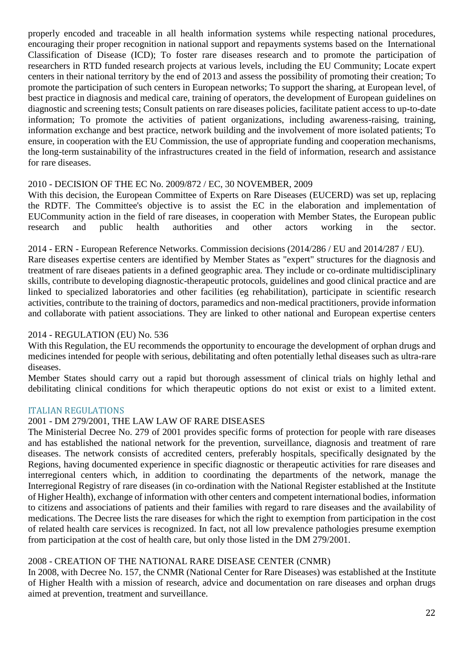properly encoded and traceable in all health information systems while respecting national procedures, encouraging their proper recognition in national support and repayments systems based on the International Classification of Disease (ICD); To foster rare diseases research and to promote the participation of researchers in RTD funded research projects at various levels, including the EU Community; Locate expert centers in their national territory by the end of 2013 and assess the possibility of promoting their creation; To promote the participation of such centers in European networks; To support the sharing, at European level, of best practice in diagnosis and medical care, training of operators, the development of European guidelines on diagnostic and screening tests; Consult patients on rare diseases policies, facilitate patient access to up-to-date information; To promote the activities of patient organizations, including awareness-raising, training, information exchange and best practice, network building and the involvement of more isolated patients; To ensure, in cooperation with the EU Commission, the use of appropriate funding and cooperation mechanisms, the long-term sustainability of the infrastructures created in the field of information, research and assistance for rare diseases.

#### 2010 - DECISION OF THE EC No. 2009/872 / EC, 30 NOVEMBER, 2009

With this decision, the European Committee of Experts on Rare Diseases (EUCERD) was set up, replacing the RDTF. The Committee's objective is to assist the EC in the elaboration and implementation of EUCommunity action in the field of rare diseases, in cooperation with Member States, the European public research and public health authorities and other actors working in the sector.

2014 - ERN - European Reference Networks. Commission decisions (2014/286 / EU and 2014/287 / EU).

Rare diseases expertise centers are identified by Member States as "expert" structures for the diagnosis and treatment of rare diseaes patients in a defined geographic area. They include or co-ordinate multidisciplinary skills, contribute to developing diagnostic-therapeutic protocols, guidelines and good clinical practice and are linked to specialized laboratories and other facilities (eg rehabilitation), participate in scientific research activities, contribute to the training of doctors, paramedics and non-medical practitioners, provide information and collaborate with patient associations. They are linked to other national and European expertise centers

#### 2014 - REGULATION (EU) No. 536

With this Regulation, the EU recommends the opportunity to encourage the development of orphan drugs and medicines intended for people with serious, debilitating and often potentially lethal diseases such as ultra-rare diseases.

Member States should carry out a rapid but thorough assessment of clinical trials on highly lethal and debilitating clinical conditions for which therapeutic options do not exist or exist to a limited extent.

#### ITALIAN REGULATIONS

#### 2001 - DM 279/2001, THE LAW LAW OF RARE DISEASES

The Ministerial Decree No. 279 of 2001 provides specific forms of protection for people with rare diseases and has established the national network for the prevention, surveillance, diagnosis and treatment of rare diseases. The network consists of accredited centers, preferably hospitals, specifically designated by the Regions, having documented experience in specific diagnostic or therapeutic activities for rare diseases and interregional centers which, in addition to coordinating the departments of the network, manage the Interregional Registry of rare diseases (in co-ordination with the National Register established at the Institute of Higher Health), exchange of information with other centers and competent international bodies, information to citizens and associations of patients and their families with regard to rare diseases and the availability of medications. The Decree lists the rare diseases for which the right to exemption from participation in the cost of related health care services is recognized. In fact, not all low prevalence pathologies presume exemption from participation at the cost of health care, but only those listed in the DM 279/2001.

#### 2008 - CREATION OF THE NATIONAL RARE DISEASE CENTER (CNMR)

In 2008, with Decree No. 157, the CNMR (National Center for Rare Diseases) was established at the Institute of Higher Health with a mission of research, advice and documentation on rare diseases and orphan drugs aimed at prevention, treatment and surveillance.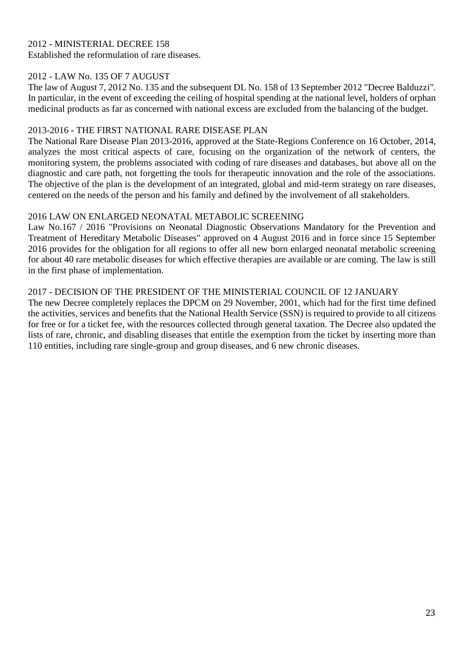#### 2012 - MINISTERIAL DECREE 158 Established the reformulation of rare diseases.

#### 2012 - LAW No. 135 OF 7 AUGUST

The law of August 7, 2012 No. 135 and the subsequent DL No. 158 of 13 September 2012 "Decree Balduzzi". In particular, in the event of exceeding the ceiling of hospital spending at the national level, holders of orphan medicinal products as far as concerned with national excess are excluded from the balancing of the budget.

#### 2013-2016 - THE FIRST NATIONAL RARE DISEASE PLAN

The National Rare Disease Plan 2013-2016, approved at the State-Regions Conference on 16 October, 2014, analyzes the most critical aspects of care, focusing on the organization of the network of centers, the monitoring system, the problems associated with coding of rare diseases and databases, but above all on the diagnostic and care path, not forgetting the tools for therapeutic innovation and the role of the associations. The objective of the plan is the development of an integrated, global and mid-term strategy on rare diseases, centered on the needs of the person and his family and defined by the involvement of all stakeholders.

#### 2016 LAW ON ENLARGED NEONATAL METABOLIC SCREENING

Law No.167 / 2016 "Provisions on Neonatal Diagnostic Observations Mandatory for the Prevention and Treatment of Hereditary Metabolic Diseases" approved on 4 August 2016 and in force since 15 September 2016 provides for the obligation for all regions to offer all new born enlarged neonatal metabolic screening for about 40 rare metabolic diseases for which effective therapies are available or are coming. The law is still in the first phase of implementation.

#### 2017 - DECISION OF THE PRESIDENT OF THE MINISTERIAL COUNCIL OF 12 JANUARY

The new Decree completely replaces the DPCM on 29 November, 2001, which had for the first time defined the activities, services and benefits that the National Health Service (SSN) is required to provide to all citizens for free or for a ticket fee, with the resources collected through general taxation. The Decree also updated the lists of rare, chronic, and disabling diseases that entitle the exemption from the ticket by inserting more than 110 entities, including rare single-group and group diseases, and 6 new chronic diseases.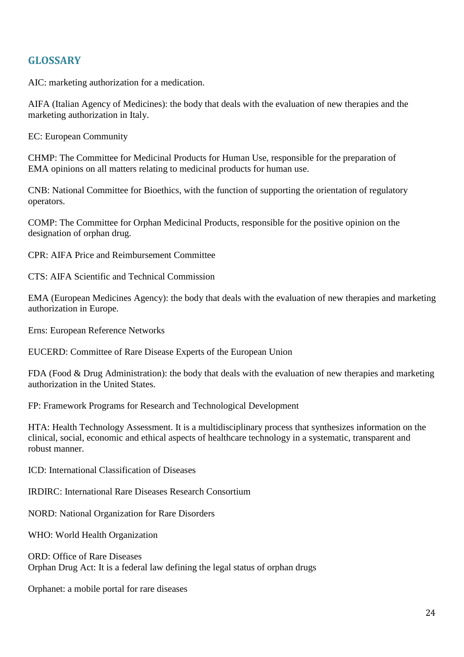## **GLOSSARY**

AIC: marketing authorization for a medication.

AIFA (Italian Agency of Medicines): the body that deals with the evaluation of new therapies and the marketing authorization in Italy.

EC: European Community

CHMP: The Committee for Medicinal Products for Human Use, responsible for the preparation of EMA opinions on all matters relating to medicinal products for human use.

CNB: National Committee for Bioethics, with the function of supporting the orientation of regulatory operators.

COMP: The Committee for Orphan Medicinal Products, responsible for the positive opinion on the designation of orphan drug.

CPR: AIFA Price and Reimbursement Committee

CTS: AIFA Scientific and Technical Commission

EMA (European Medicines Agency): the body that deals with the evaluation of new therapies and marketing authorization in Europe.

Erns: European Reference Networks

EUCERD: Committee of Rare Disease Experts of the European Union

FDA (Food & Drug Administration): the body that deals with the evaluation of new therapies and marketing authorization in the United States.

FP: Framework Programs for Research and Technological Development

HTA: Health Technology Assessment. It is a multidisciplinary process that synthesizes information on the clinical, social, economic and ethical aspects of healthcare technology in a systematic, transparent and robust manner.

ICD: International Classification of Diseases

IRDIRC: International Rare Diseases Research Consortium

NORD: National Organization for Rare Disorders

WHO: World Health Organization

ORD: Office of Rare Diseases Orphan Drug Act: It is a federal law defining the legal status of orphan drugs

Orphanet: a mobile portal for rare diseases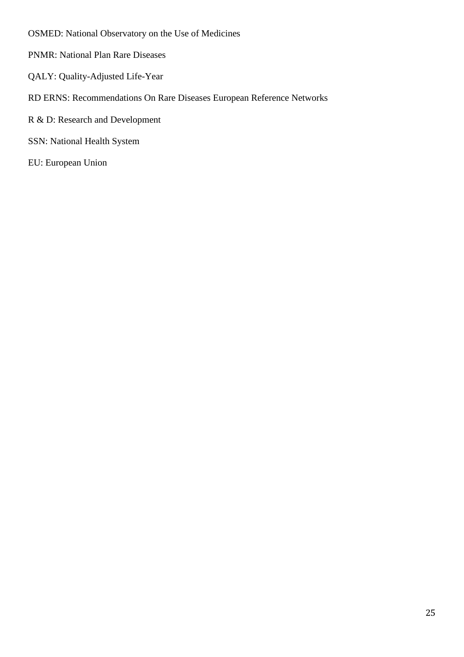OSMED: National Observatory on the Use of Medicines

- PNMR: National Plan Rare Diseases
- QALY: Quality-Adjusted Life-Year
- RD ERNS: Recommendations On Rare Diseases European Reference Networks
- R & D: Research and Development
- SSN: National Health System

EU: European Union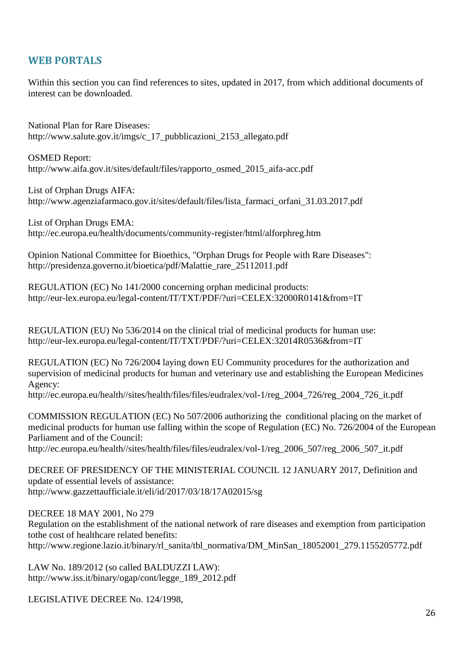## **WEB PORTALS**

Within this section you can find references to sites, updated in 2017, from which additional documents of interest can be downloaded.

National Plan for Rare Diseases: http://www.salute.gov.it/imgs/c\_17\_pubblicazioni\_2153\_allegato.pdf

OSMED Report: http://www.aifa.gov.it/sites/default/files/rapporto\_osmed\_2015\_aifa-acc.pdf

List of Orphan Drugs AIFA: http://www.agenziafarmaco.gov.it/sites/default/files/lista\_farmaci\_orfani\_31.03.2017.pdf

List of Orphan Drugs EMA: http://ec.europa.eu/health/documents/community-register/html/alforphreg.htm

Opinion National Committee for Bioethics, "Orphan Drugs for People with Rare Diseases": http://presidenza.governo.it/bioetica/pdf/Malattie\_rare\_25112011.pdf

REGULATION (EC) No 141/2000 concerning orphan medicinal products: http://eur-lex.europa.eu/legal-content/IT/TXT/PDF/?uri=CELEX:32000R0141&from=IT

REGULATION (EU) No 536/2014 on the clinical trial of medicinal products for human use: http://eur-lex.europa.eu/legal-content/IT/TXT/PDF/?uri=CELEX:32014R0536&from=IT

REGULATION (EC) No 726/2004 laying down EU Community procedures for the authorization and supervision of medicinal products for human and veterinary use and establishing the European Medicines Agency:

http://ec.europa.eu/health//sites/health/files/files/eudralex/vol-1/reg\_2004\_726/reg\_2004\_726\_it.pdf

COMMISSION REGULATION (EC) No 507/2006 authorizing the conditional placing on the market of medicinal products for human use falling within the scope of Regulation (EC) No. 726/2004 of the European Parliament and of the Council:

http://ec.europa.eu/health//sites/health/files/files/eudralex/vol-1/reg\_2006\_507/reg\_2006\_507\_it.pdf

DECREE OF PRESIDENCY OF THE MINISTERIAL COUNCIL 12 JANUARY 2017, Definition and update of essential levels of assistance: http://www.gazzettaufficiale.it/eli/id/2017/03/18/17A02015/sg

DECREE 18 MAY 2001, No 279

Regulation on the establishment of the national network of rare diseases and exemption from participation tothe cost of healthcare related benefits:

http://www.regione.lazio.it/binary/rl\_sanita/tbl\_normativa/DM\_MinSan\_18052001\_279.1155205772.pdf

LAW No. 189/2012 (so called BALDUZZI LAW): http://www.iss.it/binary/ogap/cont/legge\_189\_2012.pdf

LEGISLATIVE DECREE No. 124/1998,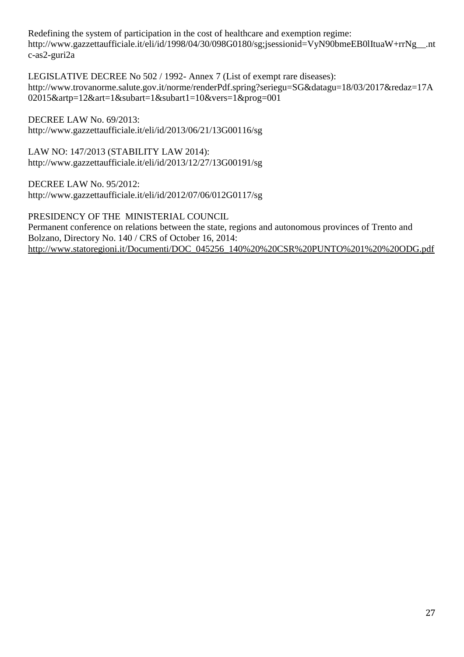Redefining the system of participation in the cost of healthcare and exemption regime: http://www.gazzettaufficiale.it/eli/id/1998/04/30/098G0180/sg;jsessionid=VyN90bmeEB0lItuaW+rrNg\_\_.nt c-as2-guri2a

LEGISLATIVE DECREE No 502 / 1992- Annex 7 (List of exempt rare diseases): http://www.trovanorme.salute.gov.it/norme/renderPdf.spring?seriegu=SG&datagu=18/03/2017&redaz=17A 02015&artp=12&art=1&subart=1&subart1=10&vers=1&prog=001

DECREE LAW No. 69/2013: http://www.gazzettaufficiale.it/eli/id/2013/06/21/13G00116/sg

LAW NO: 147/2013 (STABILITY LAW 2014): http://www.gazzettaufficiale.it/eli/id/2013/12/27/13G00191/sg

DECREE LAW No. 95/2012: http://www.gazzettaufficiale.it/eli/id/2012/07/06/012G0117/sg

PRESIDENCY OF THE MINISTERIAL COUNCIL Permanent conference on relations between the state, regions and autonomous provinces of Trento and Bolzano, Directory No. 140 / CRS of October 16, 2014: [http://www.statoregioni.it/Documenti/DOC\\_045256\\_140%20%20CSR%20PUNTO%201%20%20ODG.pdf](http://www.statoregioni.it/Documenti/DOC_045256_140%20%20CSR%20PUNTO%201%20%20ODG.pdf)